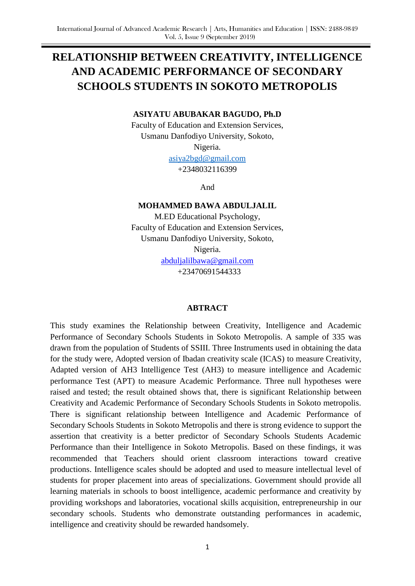# **RELATIONSHIP BETWEEN CREATIVITY, INTELLIGENCE AND ACADEMIC PERFORMANCE OF SECONDARY SCHOOLS STUDENTS IN SOKOTO METROPOLIS**

### **ASIYATU ABUBAKAR BAGUDO, Ph.D**

Faculty of Education and Extension Services, Usmanu Danfodiyo University, Sokoto, Nigeria. asiya2bgd@gmail.com

+2348032116399

And

### **MOHAMMED BAWA ABDULJALIL**

M.ED Educational Psychology, Faculty of Education and Extension Services, Usmanu Danfodiyo University, Sokoto,

Nigeria.

[abduljalilbawa@gmail.com](mailto:abduljalilbawa@gmail.com) +23470691544333

#### **ABTRACT**

This study examines the Relationship between Creativity, Intelligence and Academic Performance of Secondary Schools Students in Sokoto Metropolis. A sample of 335 was drawn from the population of Students of SSIII. Three Instruments used in obtaining the data for the study were, Adopted version of Ibadan creativity scale (ICAS) to measure Creativity, Adapted version of AH3 Intelligence Test (AH3) to measure intelligence and Academic performance Test (APT) to measure Academic Performance. Three null hypotheses were raised and tested; the result obtained shows that, there is significant Relationship between Creativity and Academic Performance of Secondary Schools Students in Sokoto metropolis. There is significant relationship between Intelligence and Academic Performance of Secondary Schools Students in Sokoto Metropolis and there is strong evidence to support the assertion that creativity is a better predictor of Secondary Schools Students Academic Performance than their Intelligence in Sokoto Metropolis. Based on these findings, it was recommended that Teachers should orient classroom interactions toward creative productions. Intelligence scales should be adopted and used to measure intellectual level of students for proper placement into areas of specializations. Government should provide all learning materials in schools to boost intelligence, academic performance and creativity by providing workshops and laboratories, vocational skills acquisition, entrepreneurship in our secondary schools. Students who demonstrate outstanding performances in academic, intelligence and creativity should be rewarded handsomely.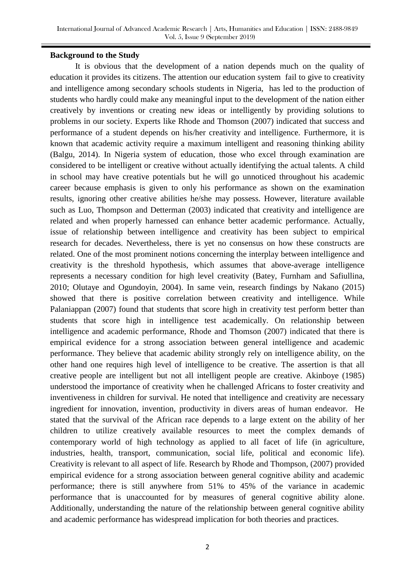### **Background to the Study**

It is obvious that the development of a nation depends much on the quality of education it provides its citizens. The attention our education system fail to give to creativity and intelligence among secondary schools students in Nigeria, has led to the production of students who hardly could make any meaningful input to the development of the nation either creatively by inventions or creating new ideas or intelligently by providing solutions to problems in our society. Experts like Rhode and Thomson (2007) indicated that success and performance of a student depends on his/her creativity and intelligence. Furthermore, it is known that academic activity require a maximum intelligent and reasoning thinking ability (Balgu, 2014). In Nigeria system of education, those who excel through examination are considered to be intelligent or creative without actually identifying the actual talents. A child in school may have creative potentials but he will go unnoticed throughout his academic career because emphasis is given to only his performance as shown on the examination results, ignoring other creative abilities he/she may possess. However, literature available such as Luo, Thompson and Detterman (2003) indicated that creativity and intelligence are related and when properly harnessed can enhance better academic performance. Actually, issue of relationship between intelligence and creativity has been subject to empirical research for decades. Nevertheless, there is yet no consensus on how these constructs are related. One of the most prominent notions concerning the interplay between intelligence and creativity is the threshold hypothesis, which assumes that above-average intelligence represents a necessary condition for high level creativity (Batey, Furnham and Safiullina, 2010; Olutaye and Ogundoyin, 2004). In same vein, research findings by Nakano (2015) showed that there is positive correlation between creativity and intelligence. While Palaniappan (2007) found that students that score high in creativity test perform better than students that score high in intelligence test academically. On relationship between intelligence and academic performance, Rhode and Thomson (2007) indicated that there is empirical evidence for a strong association between general intelligence and academic performance. They believe that academic ability strongly rely on intelligence ability, on the other hand one requires high level of intelligence to be creative. The assertion is that all creative people are intelligent but not all intelligent people are creative. Akinboye (1985) understood the importance of creativity when he challenged Africans to foster creativity and inventiveness in children for survival. He noted that intelligence and creativity are necessary ingredient for innovation, invention, productivity in divers areas of human endeavor. He stated that the survival of the African race depends to a large extent on the ability of her children to utilize creatively available resources to meet the complex demands of contemporary world of high technology as applied to all facet of life (in agriculture, industries, health, transport, communication, social life, political and economic life). Creativity is relevant to all aspect of life. Research by Rhode and Thompson, (2007) provided empirical evidence for a strong association between general cognitive ability and academic performance; there is still anywhere from 51% to 45% of the variance in academic performance that is unaccounted for by measures of general cognitive ability alone. Additionally, understanding the nature of the relationship between general cognitive ability and academic performance has widespread implication for both theories and practices.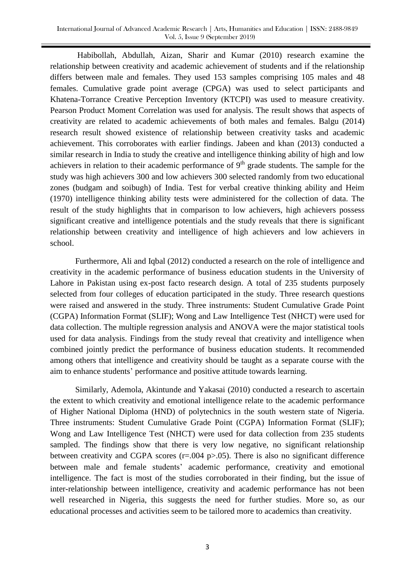Habibollah, Abdullah, Aizan, Sharir and Kumar (2010) research examine the relationship between creativity and academic achievement of students and if the relationship differs between male and females. They used 153 samples comprising 105 males and 48 females. Cumulative grade point average (CPGA) was used to select participants and Khatena-Torrance Creative Perception Inventory (KTCPI) was used to measure creativity. Pearson Product Moment Correlation was used for analysis. The result shows that aspects of creativity are related to academic achievements of both males and females. Balgu (2014) research result showed existence of relationship between creativity tasks and academic achievement. This corroborates with earlier findings. Jabeen and khan (2013) conducted a similar research in India to study the creative and intelligence thinking ability of high and low achievers in relation to their academic performance of  $9<sup>th</sup>$  grade students. The sample for the study was high achievers 300 and low achievers 300 selected randomly from two educational zones (budgam and soibugh) of India. Test for verbal creative thinking ability and Heim (1970) intelligence thinking ability tests were administered for the collection of data. The result of the study highlights that in comparison to low achievers, high achievers possess significant creative and intelligence potentials and the study reveals that there is significant relationship between creativity and intelligence of high achievers and low achievers in school.

Furthermore, Ali and Iqbal (2012) conducted a research on the role of intelligence and creativity in the academic performance of business education students in the University of Lahore in Pakistan using ex-post facto research design. A total of 235 students purposely selected from four colleges of education participated in the study. Three research questions were raised and answered in the study. Three instruments: Student Cumulative Grade Point (CGPA) Information Format (SLIF); Wong and Law Intelligence Test (NHCT) were used for data collection. The multiple regression analysis and ANOVA were the major statistical tools used for data analysis. Findings from the study reveal that creativity and intelligence when combined jointly predict the performance of business education students. It recommended among others that intelligence and creativity should be taught as a separate course with the aim to enhance students' performance and positive attitude towards learning.

Similarly, Ademola, Akintunde and Yakasai (2010) conducted a research to ascertain the extent to which creativity and emotional intelligence relate to the academic performance of Higher National Diploma (HND) of polytechnics in the south western state of Nigeria. Three instruments: Student Cumulative Grade Point (CGPA) Information Format (SLIF); Wong and Law Intelligence Test (NHCT) were used for data collection from 235 students sampled. The findings show that there is very low negative, no significant relationship between creativity and CGPA scores  $(r=.004 \text{ p}$  $> .05)$ . There is also no significant difference between male and female students' academic performance, creativity and emotional intelligence. The fact is most of the studies corroborated in their finding, but the issue of inter-relationship between intelligence, creativity and academic performance has not been well researched in Nigeria, this suggests the need for further studies. More so, as our educational processes and activities seem to be tailored more to academics than creativity.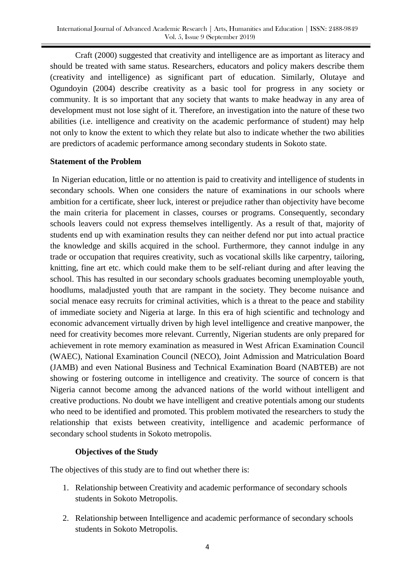Craft (2000) suggested that creativity and intelligence are as important as literacy and should be treated with same status. Researchers, educators and policy makers describe them (creativity and intelligence) as significant part of education. Similarly, Olutaye and Ogundoyin (2004) describe creativity as a basic tool for progress in any society or community. It is so important that any society that wants to make headway in any area of development must not lose sight of it. Therefore, an investigation into the nature of these two abilities (i.e. intelligence and creativity on the academic performance of student) may help not only to know the extent to which they relate but also to indicate whether the two abilities are predictors of academic performance among secondary students in Sokoto state.

### **Statement of the Problem**

In Nigerian education, little or no attention is paid to creativity and intelligence of students in secondary schools. When one considers the nature of examinations in our schools where ambition for a certificate, sheer luck, interest or prejudice rather than objectivity have become the main criteria for placement in classes, courses or programs. Consequently, secondary schools leavers could not express themselves intelligently. As a result of that, majority of students end up with examination results they can neither defend nor put into actual practice the knowledge and skills acquired in the school. Furthermore, they cannot indulge in any trade or occupation that requires creativity, such as vocational skills like carpentry, tailoring, knitting, fine art etc. which could make them to be self-reliant during and after leaving the school. This has resulted in our secondary schools graduates becoming unemployable youth, hoodlums, maladjusted youth that are rampant in the society. They become nuisance and social menace easy recruits for criminal activities, which is a threat to the peace and stability of immediate society and Nigeria at large. In this era of high scientific and technology and economic advancement virtually driven by high level intelligence and creative manpower, the need for creativity becomes more relevant. Currently, Nigerian students are only prepared for achievement in rote memory examination as measured in West African Examination Council (WAEC), National Examination Council (NECO), Joint Admission and Matriculation Board (JAMB) and even National Business and Technical Examination Board (NABTEB) are not showing or fostering outcome in intelligence and creativity. The source of concern is that Nigeria cannot become among the advanced nations of the world without intelligent and creative productions. No doubt we have intelligent and creative potentials among our students who need to be identified and promoted. This problem motivated the researchers to study the relationship that exists between creativity, intelligence and academic performance of secondary school students in Sokoto metropolis.

# **Objectives of the Study**

The objectives of this study are to find out whether there is:

- 1. Relationship between Creativity and academic performance of secondary schools students in Sokoto Metropolis.
- 2. Relationship between Intelligence and academic performance of secondary schools students in Sokoto Metropolis.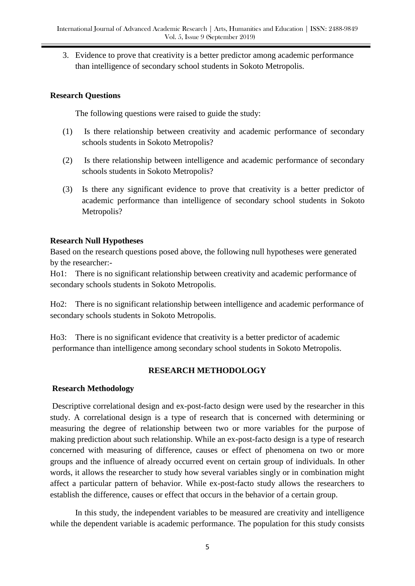3. Evidence to prove that creativity is a better predictor among academic performance than intelligence of secondary school students in Sokoto Metropolis.

# **Research Questions**

The following questions were raised to guide the study:

- (1) Is there relationship between creativity and academic performance of secondary schools students in Sokoto Metropolis?
- (2) Is there relationship between intelligence and academic performance of secondary schools students in Sokoto Metropolis?
- (3) Is there any significant evidence to prove that creativity is a better predictor of academic performance than intelligence of secondary school students in Sokoto Metropolis?

# **Research Null Hypotheses**

Based on the research questions posed above, the following null hypotheses were generated by the researcher:-

Ho1: There is no significant relationship between creativity and academic performance of secondary schools students in Sokoto Metropolis.

Ho2: There is no significant relationship between intelligence and academic performance of secondary schools students in Sokoto Metropolis.

Ho3: There is no significant evidence that creativity is a better predictor of academic performance than intelligence among secondary school students in Sokoto Metropolis.

# **RESEARCH METHODOLOGY**

# **Research Methodology**

Descriptive correlational design and ex-post-facto design were used by the researcher in this study. A correlational design is a type of research that is concerned with determining or measuring the degree of relationship between two or more variables for the purpose of making prediction about such relationship. While an ex-post-facto design is a type of research concerned with measuring of difference, causes or effect of phenomena on two or more groups and the influence of already occurred event on certain group of individuals. In other words, it allows the researcher to study how several variables singly or in combination might affect a particular pattern of behavior. While ex-post-facto study allows the researchers to establish the difference, causes or effect that occurs in the behavior of a certain group.

In this study, the independent variables to be measured are creativity and intelligence while the dependent variable is academic performance. The population for this study consists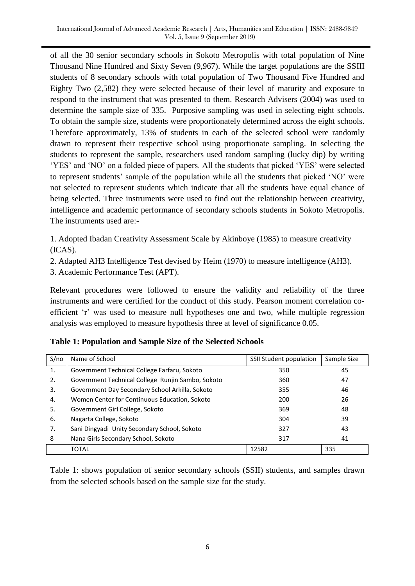of all the 30 senior secondary schools in Sokoto Metropolis with total population of Nine Thousand Nine Hundred and Sixty Seven (9,967). While the target populations are the SSIII students of 8 secondary schools with total population of Two Thousand Five Hundred and Eighty Two (2,582) they were selected because of their level of maturity and exposure to respond to the instrument that was presented to them. Research Advisers (2004) was used to determine the sample size of 335. Purposive sampling was used in selecting eight schools. To obtain the sample size, students were proportionately determined across the eight schools. Therefore approximately, 13% of students in each of the selected school were randomly drawn to represent their respective school using proportionate sampling. In selecting the students to represent the sample, researchers used random sampling (lucky dip) by writing 'YES' and 'NO' on a folded piece of papers. All the students that picked 'YES' were selected to represent students' sample of the population while all the students that picked 'NO' were not selected to represent students which indicate that all the students have equal chance of being selected. Three instruments were used to find out the relationship between creativity, intelligence and academic performance of secondary schools students in Sokoto Metropolis. The instruments used are:-

1. Adopted Ibadan Creativity Assessment Scale by Akinboye (1985) to measure creativity (ICAS).

2. Adapted AH3 Intelligence Test devised by Heim (1970) to measure intelligence (AH3).

3. Academic Performance Test (APT).

Relevant procedures were followed to ensure the validity and reliability of the three instruments and were certified for the conduct of this study. Pearson moment correlation coefficient 'r' was used to measure null hypotheses one and two, while multiple regression analysis was employed to measure hypothesis three at level of significance 0.05.

| S/no | Name of School                                    | SSII Student population | Sample Size |
|------|---------------------------------------------------|-------------------------|-------------|
| 1.   | Government Technical College Farfaru, Sokoto      | 350                     | 45          |
| 2.   | Government Technical College Runjin Sambo, Sokoto | 360                     | 47          |
| 3.   | Government Day Secondary School Arkilla, Sokoto   | 355                     | 46          |
| 4.   | Women Center for Continuous Education, Sokoto     | 200                     | 26          |
| 5.   | Government Girl College, Sokoto                   | 369                     | 48          |
| 6.   | Nagarta College, Sokoto                           | 304                     | 39          |
| 7.   | Sani Dingyadi Unity Secondary School, Sokoto      | 327                     | 43          |
| 8    | Nana Girls Secondary School, Sokoto               | 317                     | 41          |
|      | <b>TOTAL</b>                                      | 12582                   | 335         |

|  |  |  |  |  | Table 1: Population and Sample Size of the Selected Schools |
|--|--|--|--|--|-------------------------------------------------------------|
|--|--|--|--|--|-------------------------------------------------------------|

Table 1: shows population of senior secondary schools (SSII) students, and samples drawn from the selected schools based on the sample size for the study.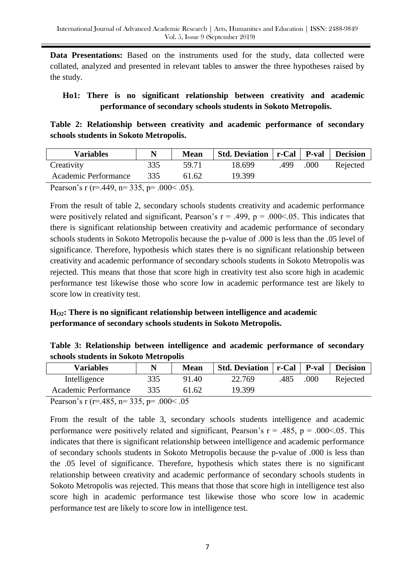Data Presentations: Based on the instruments used for the study, data collected were collated, analyzed and presented in relevant tables to answer the three hypotheses raised by the study.

# **Ho1: There is no significant relationship between creativity and academic performance of secondary schools students in Sokoto Metropolis.**

**Table 2: Relationship between creativity and academic performance of secondary schools students in Sokoto Metropolis.**

| <b>Variables</b>                                    |                   | <b>Mean</b> | Std. Deviation   r-Cal   P-val   Decision |      |      |          |
|-----------------------------------------------------|-------------------|-------------|-------------------------------------------|------|------|----------|
| Creativity                                          | 335               | 59.71       | 18.699                                    | .499 | .000 | Rejected |
| Academic Performance                                | 335               | 61.62       | 19.399                                    |      |      |          |
| $\cap$ $\cap$ $\cap$<br><sup>n</sup><br>$\sqrt{40}$ | $0.00 \times 0.7$ |             |                                           |      |      |          |

Pearson's r (r=.449, n= 335, p=  $.000 < .05$ ).

From the result of table 2, secondary schools students creativity and academic performance were positively related and significant, Pearson's  $r = .499$ ,  $p = .000<0.05$ . This indicates that there is significant relationship between creativity and academic performance of secondary schools students in Sokoto Metropolis because the p-value of .000 is less than the .05 level of significance. Therefore, hypothesis which states there is no significant relationship between creativity and academic performance of secondary schools students in Sokoto Metropolis was rejected. This means that those that score high in creativity test also score high in academic performance test likewise those who score low in academic performance test are likely to score low in creativity test.

# **HO2: There is no significant relationship between intelligence and academic performance of secondary schools students in Sokoto Metropolis.**

|  |                                       |  |  | Table 3: Relationship between intelligence and academic performance of secondary |  |
|--|---------------------------------------|--|--|----------------------------------------------------------------------------------|--|
|  | schools students in Sokoto Metropolis |  |  |                                                                                  |  |

| <b>Variables</b>                             | N   | <b>Mean</b> | Std. Deviation   r-Cal   P-val |      |      | <b>Decision</b> |  |
|----------------------------------------------|-----|-------------|--------------------------------|------|------|-----------------|--|
| Intelligence                                 | 335 | 91.40       | 22.769                         | .485 | .000 | Rejected        |  |
| Academic Performance                         | 335 | 61.62       | 19.399                         |      |      |                 |  |
| $\overline{D}$ , (105 225 000 $\overline{C}$ |     |             |                                |      |      |                 |  |

Pearson's r (r=.485, n= 335, p= .000< .05

From the result of the table 3, secondary schools students intelligence and academic performance were positively related and significant, Pearson's  $r = .485$ ,  $p = .000<0.05$ . This indicates that there is significant relationship between intelligence and academic performance of secondary schools students in Sokoto Metropolis because the p-value of .000 is less than the .05 level of significance. Therefore, hypothesis which states there is no significant relationship between creativity and academic performance of secondary schools students in Sokoto Metropolis was rejected. This means that those that score high in intelligence test also score high in academic performance test likewise those who score low in academic performance test are likely to score low in intelligence test.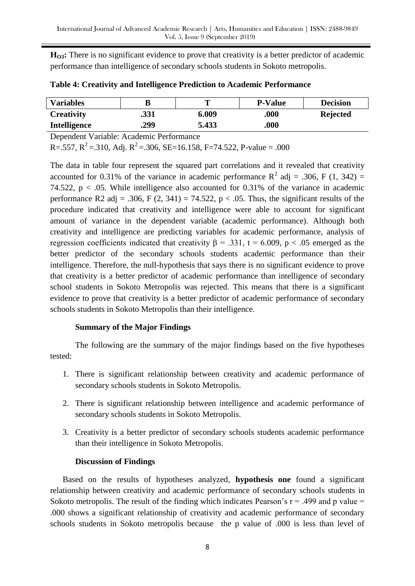**HO3:** There is no significant evidence to prove that creativity is a better predictor of academic performance than intelligence of secondary schools students in Sokoto metropolis.

| <b>Variables</b>    |      |       | <b>P-Value</b> | <b>Decision</b> |
|---------------------|------|-------|----------------|-----------------|
| <b>Creativity</b>   | .331 | 6.009 | .000.          | <b>Rejected</b> |
| <b>Intelligence</b> | .299 | 5.433 | .000           |                 |

|  | Table 4: Creativity and Intelligence Prediction to Academic Performance |  |  |
|--|-------------------------------------------------------------------------|--|--|
|  |                                                                         |  |  |

Dependent Variable: Academic Performance

R=.557,  $R^2$  = .310, Adj.  $R^2$  = .306, SE=16.158, F=74.522, P-value = .000

The data in table four represent the squared part correlations and it revealed that creativity accounted for 0.31% of the variance in academic performance  $R^2$  adj = .306, F (1, 342) = 74.522,  $p < .05$ . While intelligence also accounted for 0.31% of the variance in academic performance R2 adj = .306, F (2, 341) = 74.522,  $p < .05$ . Thus, the significant results of the procedure indicated that creativity and intelligence were able to account for significant amount of variance in the dependent variable (academic performance). Although both creativity and intelligence are predicting variables for academic performance, analysis of regression coefficients indicated that creativity  $β = .331$ ,  $t = 6.009$ ,  $p < .05$  emerged as the better predictor of the secondary schools students academic performance than their intelligence. Therefore, the null-hypothesis that says there is no significant evidence to prove that creativity is a better predictor of academic performance than intelligence of secondary school students in Sokoto Metropolis was rejected. This means that there is a significant evidence to prove that creativity is a better predictor of academic performance of secondary schools students in Sokoto Metropolis than their intelligence.

# **Summary of the Major Findings**

The following are the summary of the major findings based on the five hypotheses tested:

- 1. There is significant relationship between creativity and academic performance of secondary schools students in Sokoto Metropolis.
- 2. There is significant relationship between intelligence and academic performance of secondary schools students in Sokoto Metropolis.
- 3. Creativity is a better predictor of secondary schools students academic performance than their intelligence in Sokoto Metropolis.

# **Discussion of Findings**

Based on the results of hypotheses analyzed, **hypothesis one** found a significant relationship between creativity and academic performance of secondary schools students in Sokoto metropolis. The result of the finding which indicates Pearson's  $r = .499$  and p value = .000 shows a significant relationship of creativity and academic performance of secondary schools students in Sokoto metropolis because the p value of .000 is less than level of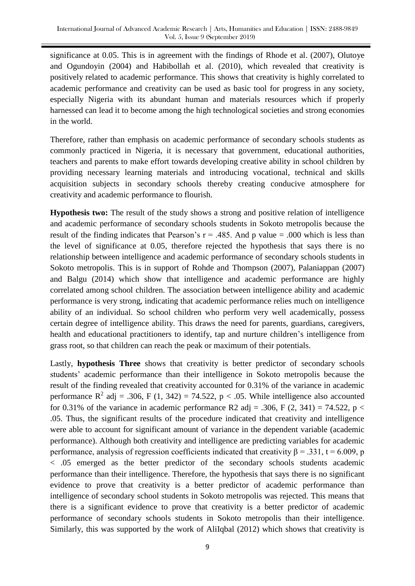significance at 0.05. This is in agreement with the findings of Rhode et al. (2007), Olutoye and Ogundoyin (2004) and Habibollah et al. (2010), which revealed that creativity is positively related to academic performance. This shows that creativity is highly correlated to academic performance and creativity can be used as basic tool for progress in any society, especially Nigeria with its abundant human and materials resources which if properly harnessed can lead it to become among the high technological societies and strong economies in the world.

Therefore, rather than emphasis on academic performance of secondary schools students as commonly practiced in Nigeria, it is necessary that government, educational authorities, teachers and parents to make effort towards developing creative ability in school children by providing necessary learning materials and introducing vocational, technical and skills acquisition subjects in secondary schools thereby creating conducive atmosphere for creativity and academic performance to flourish.

**Hypothesis two:** The result of the study shows a strong and positive relation of intelligence and academic performance of secondary schools students in Sokoto metropolis because the result of the finding indicates that Pearson's  $r = .485$ . And p value = .000 which is less than the level of significance at 0.05, therefore rejected the hypothesis that says there is no relationship between intelligence and academic performance of secondary schools students in Sokoto metropolis. This is in support of Rohde and Thompson (2007), Palaniappan (2007) and Balgu (2014) which show that intelligence and academic performance are highly correlated among school children. The association between intelligence ability and academic performance is very strong, indicating that academic performance relies much on intelligence ability of an individual. So school children who perform very well academically, possess certain degree of intelligence ability. This draws the need for parents, guardians, caregivers, health and educational practitioners to identify, tap and nurture children's intelligence from grass root, so that children can reach the peak or maximum of their potentials.

Lastly, **hypothesis Three** shows that creativity is better predictor of secondary schools students' academic performance than their intelligence in Sokoto metropolis because the result of the finding revealed that creativity accounted for 0.31% of the variance in academic performance  $R^2$  adj = .306, F (1, 342) = 74.522, p < .05. While intelligence also accounted for 0.31% of the variance in academic performance R2 adj = .306, F (2, 341) = 74.522, p < .05. Thus, the significant results of the procedure indicated that creativity and intelligence were able to account for significant amount of variance in the dependent variable (academic performance). Although both creativity and intelligence are predicting variables for academic performance, analysis of regression coefficients indicated that creativity  $\beta = .331$ , t = 6.009, p < .05 emerged as the better predictor of the secondary schools students academic performance than their intelligence. Therefore, the hypothesis that says there is no significant evidence to prove that creativity is a better predictor of academic performance than intelligence of secondary school students in Sokoto metropolis was rejected. This means that there is a significant evidence to prove that creativity is a better predictor of academic performance of secondary schools students in Sokoto metropolis than their intelligence. Similarly, this was supported by the work of AliIqbal (2012) which shows that creativity is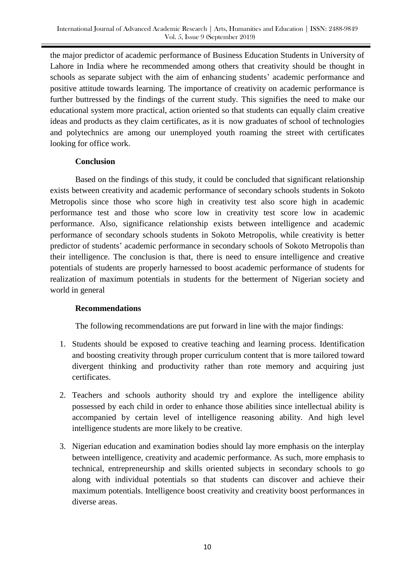the major predictor of academic performance of Business Education Students in University of Lahore in India where he recommended among others that creativity should be thought in schools as separate subject with the aim of enhancing students' academic performance and positive attitude towards learning. The importance of creativity on academic performance is further buttressed by the findings of the current study. This signifies the need to make our educational system more practical, action oriented so that students can equally claim creative ideas and products as they claim certificates, as it is now graduates of school of technologies and polytechnics are among our unemployed youth roaming the street with certificates looking for office work.

# **Conclusion**

Based on the findings of this study, it could be concluded that significant relationship exists between creativity and academic performance of secondary schools students in Sokoto Metropolis since those who score high in creativity test also score high in academic performance test and those who score low in creativity test score low in academic performance. Also, significance relationship exists between intelligence and academic performance of secondary schools students in Sokoto Metropolis, while creativity is better predictor of students' academic performance in secondary schools of Sokoto Metropolis than their intelligence. The conclusion is that, there is need to ensure intelligence and creative potentials of students are properly harnessed to boost academic performance of students for realization of maximum potentials in students for the betterment of Nigerian society and world in general

# **Recommendations**

The following recommendations are put forward in line with the major findings:

- 1. Students should be exposed to creative teaching and learning process. Identification and boosting creativity through proper curriculum content that is more tailored toward divergent thinking and productivity rather than rote memory and acquiring just certificates.
- 2. Teachers and schools authority should try and explore the intelligence ability possessed by each child in order to enhance those abilities since intellectual ability is accompanied by certain level of intelligence reasoning ability. And high level intelligence students are more likely to be creative.
- 3. Nigerian education and examination bodies should lay more emphasis on the interplay between intelligence, creativity and academic performance. As such, more emphasis to technical, entrepreneurship and skills oriented subjects in secondary schools to go along with individual potentials so that students can discover and achieve their maximum potentials. Intelligence boost creativity and creativity boost performances in diverse areas.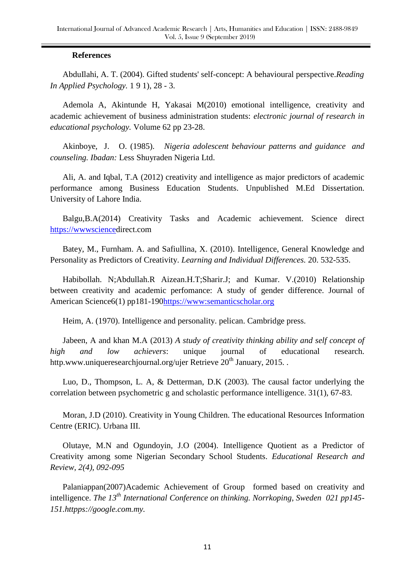### **References**

AbduIlahi, A. T. (2004). Gifted students' self-concept: A behavioural perspective.*Reading In Applied Psychology.* 1 9 1), 28 - 3.

Ademola A, Akintunde H, Yakasai M(2010) emotional intelligence, creativity and academic achievement of business administration students: *electronic journal of research in educational psychology.* Volume 62 pp 23-28.

Akinboye, J. O. (1985). *Nigeria adolescent behaviour patterns and guidance and counseling. Ibadan:* Less Shuyraden Nigeria Ltd.

Ali, A. and Iqbal, T.A (2012) creativity and intelligence as major predictors of academic performance among Business Education Students. Unpublished M.Ed Dissertation. University of Lahore India.

Balgu,B.A(2014) Creativity Tasks and Academic achievement. Science direct [https://wwwscienced](https://wwwscience/)irect.com

Batey, M., Furnham. A. and Safiullina, X. (2010). Intelligence, General Knowledge and Personality as Predictors of Creativity. *Learning and Individual Differences.* 20. 532-535.

Habibollah. N;Abdullah.R Aizean.H.T;Sharir.J; and Kumar. V.(2010) Relationship between creativity and academic perfomance: A study of gender difference. Journal of American Science6(1) pp181-19[0https://www:semanticscholar.org](https://www:semanticscholar.org)

Heim, A. (1970). Intelligence and personality. pelican. Cambridge press.

Jabeen, A and khan M.A (2013) *A study of creativity thinking ability and self concept of high and low achievers*: unique journal of educational research. http.www.uniqueresearchjournal.org/ujer Retrieve  $20<sup>th</sup>$  January, 2015.

Luo, D., Thompson, L. A, & Detterman, D.K (2003). The causal factor underlying the correlation between psychometric g and scholastic performance intelligence. 31(1), 67-83.

Moran, J.D (2010). Creativity in Young Children. The educational Resources Information Centre (ERIC). Urbana III.

Olutaye, M.N and Ogundoyin, J.O (2004). Intelligence Quotient as a Predictor of Creativity among some Nigerian Secondary School Students. *Educational Research and Review, 2(4), 092-095*

Palaniappan(2007)Academic Achievement of Group formed based on creativity and intelligence. *The 13th International Conference on thinking. Norrkoping, Sweden 021 pp145- 151.httpps://google.com.my.*